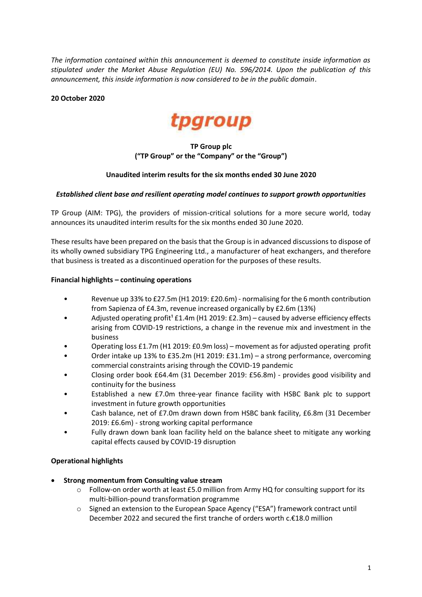*The information contained within this announcement is deemed to constitute inside information as stipulated under the Market Abuse Regulation (EU) No. 596/2014. Upon the publication of this announcement, this inside information is now considered to be in the public domain*.

### **20 October 2020**



## **TP Group plc ("TP Group" or the "Company" or the "Group")**

### **Unaudited interim results for the six months ended 30 June 2020**

### *Established client base and resilient operating model continues to support growth opportunities*

TP Group (AIM: TPG), the providers of mission-critical solutions for a more secure world, today announces its unaudited interim results for the six months ended 30 June 2020.

These results have been prepared on the basis that the Group is in advanced discussions to dispose of its wholly owned subsidiary TPG Engineering Ltd., a manufacturer of heat exchangers, and therefore that business is treated as a discontinued operation for the purposes of these results.

### **Financial highlights – continuing operations**

- Revenue up 33% to £27.5m (H1 2019: £20.6m) normalising for the 6 month contribution from Sapienza of £4.3m, revenue increased organically by £2.6m (13%)
- Adjusted operating profit<sup>1</sup> £1.4m (H1 2019: £2.3m) caused by adverse efficiency effects arising from COVID-19 restrictions, a change in the revenue mix and investment in the business
- Operating loss £1.7m (H1 2019: £0.9m loss) movement as for adjusted operating profit
- Order intake up 13% to £35.2m (H1 2019: £31.1m) a strong performance, overcoming commercial constraints arising through the COVID-19 pandemic
- Closing order book £64.4m (31 December 2019: £56.8m) provides good visibility and continuity for the business
- Established a new £7.0m three-year finance facility with HSBC Bank plc to support investment in future growth opportunities
- Cash balance, net of £7.0m drawn down from HSBC bank facility, £6.8m (31 December 2019: £6.6m) - strong working capital performance
- Fully drawn down bank loan facility held on the balance sheet to mitigate any working capital effects caused by COVID-19 disruption

### **Operational highlights**

- **Strong momentum from Consulting value stream**
	- o Follow-on order worth at least £5.0 million from Army HQ for consulting support for its multi-billion-pound transformation programme
	- o Signed an extension to the European Space Agency ("ESA") framework contract until December 2022 and secured the first tranche of orders worth c.€18.0 million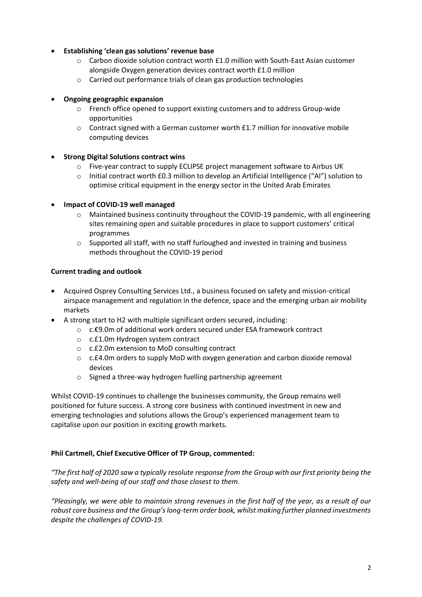### **Establishing 'clean gas solutions' revenue base**

- $\circ$  Carbon dioxide solution contract worth £1.0 million with South-East Asian customer alongside Oxygen generation devices contract worth £1.0 million
- o Carried out performance trials of clean gas production technologies

### **Ongoing geographic expansion**

- o French office opened to support existing customers and to address Group-wide opportunities
- o Contract signed with a German customer worth £1.7 million for innovative mobile computing devices
- **Strong Digital Solutions contract wins**
	- o Five-year contract to supply ECLIPSE project management software to Airbus UK
	- o Initial contract worth £0.3 million to develop an Artificial Intelligence ("AI") solution to optimise critical equipment in the energy sector in the United Arab Emirates
- **Impact of COVID-19 well managed**
	- $\circ$  Maintained business continuity throughout the COVID-19 pandemic, with all engineering sites remaining open and suitable procedures in place to support customers' critical programmes
	- o Supported all staff, with no staff furloughed and invested in training and business methods throughout the COVID-19 period

### **Current trading and outlook**

- Acquired Osprey Consulting Services Ltd., a business focused on safety and mission-critical airspace management and regulation in the defence, space and the emerging urban air mobility markets
- A strong start to H2 with multiple significant orders secured, including:
	- o c.€9.0m of additional work orders secured under ESA framework contract
	- o c.£1.0m Hydrogen system contract
	- o c.£2.0m extension to MoD consulting contract
	- o c.£4.0m orders to supply MoD with oxygen generation and carbon dioxide removal devices
	- o Signed a three-way hydrogen fuelling partnership agreement

Whilst COVID-19 continues to challenge the businesses community, the Group remains well positioned for future success. A strong core business with continued investment in new and emerging technologies and solutions allows the Group's experienced management team to capitalise upon our position in exciting growth markets.

### **Phil Cartmell, Chief Executive Officer of TP Group, commented:**

*"The first half of 2020 saw a typically resolute response from the Group with our first priority being the safety and well-being of our staff and those closest to them.*

*"Pleasingly, we were able to maintain strong revenues in the first half of the year, as a result of our robust core business and the Group's long-term order book, whilst making further planned investments despite the challenges of COVID-19.*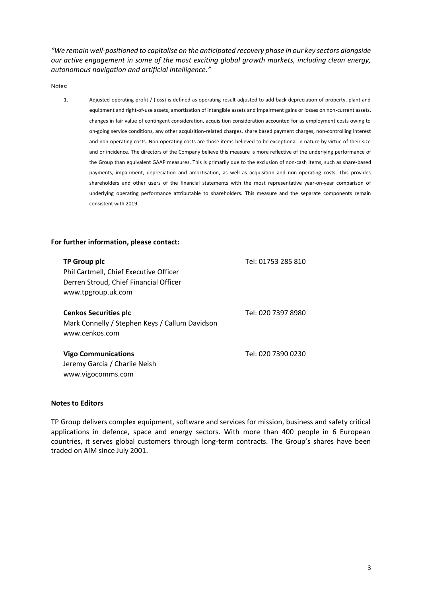*"We remain well-positioned to capitalise on the anticipated recovery phase in our key sectors alongside our active engagement in some of the most exciting global growth markets, including clean energy, autonomous navigation and artificial intelligence."*

Notes:

1. Adjusted operating profit / (loss) is defined as operating result adjusted to add back depreciation of property, plant and equipment and right-of-use assets, amortisation of intangible assets and impairment gains or losses on non-current assets, changes in fair value of contingent consideration, acquisition consideration accounted for as employment costs owing to on-going service conditions, any other acquisition-related charges, share based payment charges, non-controlling interest and non-operating costs. Non-operating costs are those items believed to be exceptional in nature by virtue of their size and or incidence. The directors of the Company believe this measure is more reflective of the underlying performance of the Group than equivalent GAAP measures. This is primarily due to the exclusion of non-cash items, such as share-based payments, impairment, depreciation and amortisation, as well as acquisition and non-operating costs. This provides shareholders and other users of the financial statements with the most representative year-on-year comparison of underlying operating performance attributable to shareholders. This measure and the separate components remain consistent with 2019.

#### **For further information, please contact:**

| TP Group plc<br>Phil Cartmell, Chief Executive Officer<br>Derren Stroud, Chief Financial Officer<br>www.tpgroup.uk.com | Tel: 01753 285 810 |
|------------------------------------------------------------------------------------------------------------------------|--------------------|
| <b>Cenkos Securities plc</b><br>Mark Connelly / Stephen Keys / Callum Davidson<br>www.cenkos.com                       | Tel: 020 7397 8980 |
| <b>Vigo Communications</b><br>Jeremy Garcia / Charlie Neish<br>www.vigocomms.com                                       | Tel: 020 7390 0230 |

### **Notes to Editors**

TP Group delivers complex equipment, software and services for mission, business and safety critical applications in defence, space and energy sectors. With more than 400 people in 6 European countries, it serves global customers through long-term contracts. The Group's shares have been traded on AIM since July 2001.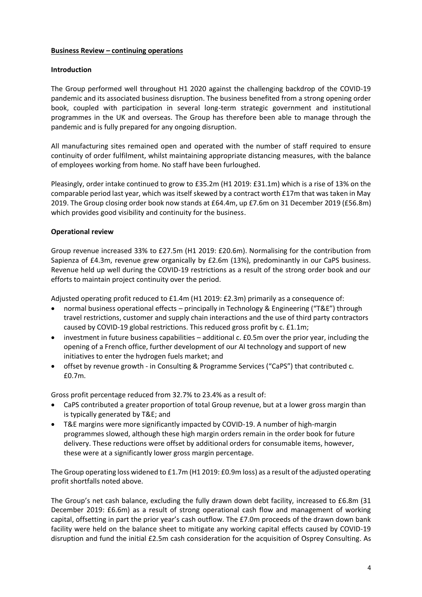### **Business Review – continuing operations**

### **Introduction**

The Group performed well throughout H1 2020 against the challenging backdrop of the COVID-19 pandemic and its associated business disruption. The business benefited from a strong opening order book, coupled with participation in several long-term strategic government and institutional programmes in the UK and overseas. The Group has therefore been able to manage through the pandemic and is fully prepared for any ongoing disruption.

All manufacturing sites remained open and operated with the number of staff required to ensure continuity of order fulfilment, whilst maintaining appropriate distancing measures, with the balance of employees working from home. No staff have been furloughed.

Pleasingly, order intake continued to grow to £35.2m (H1 2019: £31.1m) which is a rise of 13% on the comparable period last year, which was itself skewed by a contract worth £17m that was taken in May 2019. The Group closing order book now stands at £64.4m, up £7.6m on 31 December 2019 (£56.8m) which provides good visibility and continuity for the business.

### **Operational review**

Group revenue increased 33% to £27.5m (H1 2019: £20.6m). Normalising for the contribution from Sapienza of £4.3m, revenue grew organically by £2.6m (13%), predominantly in our CaPS business. Revenue held up well during the COVID-19 restrictions as a result of the strong order book and our efforts to maintain project continuity over the period.

Adjusted operating profit reduced to £1.4m (H1 2019: £2.3m) primarily as a consequence of:

- normal business operational effects principally in Technology & Engineering ("T&E") through travel restrictions, customer and supply chain interactions and the use of third party contractors caused by COVID-19 global restrictions. This reduced gross profit by c. £1.1m;
- investment in future business capabilities additional c. £0.5m over the prior year, including the opening of a French office, further development of our AI technology and support of new initiatives to enter the hydrogen fuels market; and
- offset by revenue growth in Consulting & Programme Services ("CaPS") that contributed c. £0.7m.

Gross profit percentage reduced from 32.7% to 23.4% as a result of:

- CaPS contributed a greater proportion of total Group revenue, but at a lower gross margin than is typically generated by T&E; and
- T&E margins were more significantly impacted by COVID-19. A number of high-margin programmes slowed, although these high margin orders remain in the order book for future delivery. These reductions were offset by additional orders for consumable items, however, these were at a significantly lower gross margin percentage.

The Group operating loss widened to £1.7m (H1 2019: £0.9m loss) as a result of the adjusted operating profit shortfalls noted above.

The Group's net cash balance, excluding the fully drawn down debt facility, increased to £6.8m (31 December 2019: £6.6m) as a result of strong operational cash flow and management of working capital, offsetting in part the prior year's cash outflow. The £7.0m proceeds of the drawn down bank facility were held on the balance sheet to mitigate any working capital effects caused by COVID-19 disruption and fund the initial £2.5m cash consideration for the acquisition of Osprey Consulting. As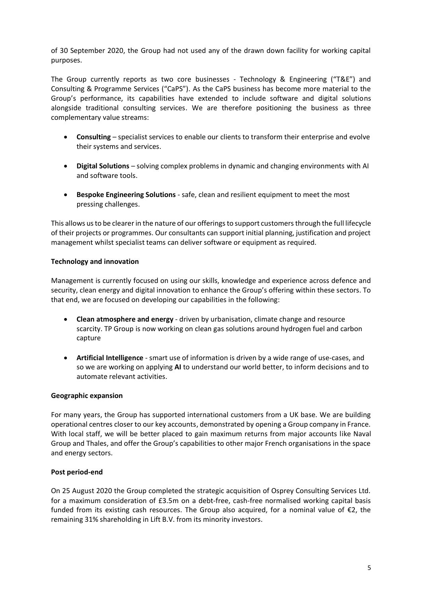of 30 September 2020, the Group had not used any of the drawn down facility for working capital purposes.

The Group currently reports as two core businesses - Technology & Engineering ("T&E") and Consulting & Programme Services ("CaPS"). As the CaPS business has become more material to the Group's performance, its capabilities have extended to include software and digital solutions alongside traditional consulting services. We are therefore positioning the business as three complementary value streams:

- **Consulting** specialist services to enable our clients to transform their enterprise and evolve their systems and services.
- **Digital Solutions** solving complex problems in dynamic and changing environments with AI and software tools.
- **Bespoke Engineering Solutions** safe, clean and resilient equipment to meet the most pressing challenges.

This allows us to be clearer in the nature of our offerings to support customers through the full lifecycle of their projects or programmes. Our consultants can support initial planning, justification and project management whilst specialist teams can deliver software or equipment as required.

### **Technology and innovation**

Management is currently focused on using our skills, knowledge and experience across defence and security, clean energy and digital innovation to enhance the Group's offering within these sectors. To that end, we are focused on developing our capabilities in the following:

- **Clean atmosphere and energy** driven by urbanisation, climate change and resource scarcity. TP Group is now working on clean gas solutions around hydrogen fuel and carbon capture
- **Artificial Intelligence** smart use of information is driven by a wide range of use-cases, and so we are working on applying **AI** to understand our world better, to inform decisions and to automate relevant activities.

### **Geographic expansion**

For many years, the Group has supported international customers from a UK base. We are building operational centres closer to our key accounts, demonstrated by opening a Group company in France. With local staff, we will be better placed to gain maximum returns from major accounts like Naval Group and Thales, and offer the Group's capabilities to other major French organisations in the space and energy sectors.

### **Post period-end**

On 25 August 2020 the Group completed the strategic acquisition of Osprey Consulting Services Ltd. for a maximum consideration of £3.5m on a debt-free, cash-free normalised working capital basis funded from its existing cash resources. The Group also acquired, for a nominal value of  $\epsilon$ 2, the remaining 31% shareholding in Lift B.V. from its minority investors.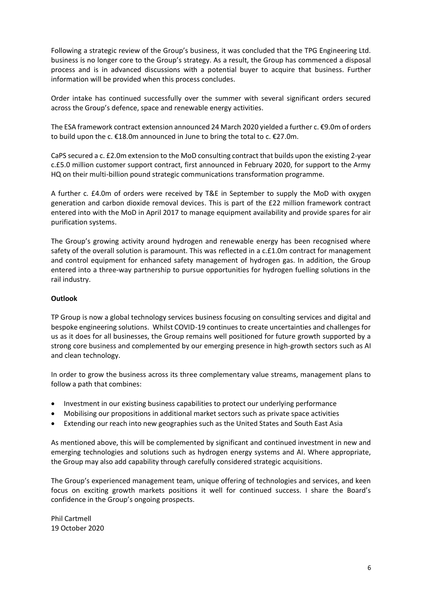Following a strategic review of the Group's business, it was concluded that the TPG Engineering Ltd. business is no longer core to the Group's strategy. As a result, the Group has commenced a disposal process and is in advanced discussions with a potential buyer to acquire that business. Further information will be provided when this process concludes.

Order intake has continued successfully over the summer with several significant orders secured across the Group's defence, space and renewable energy activities.

The ESA framework contract extension announced 24 March 2020 yielded a further c. €9.0m of orders to build upon the c. €18.0m announced in June to bring the total to c. €27.0m.

CaPS secured a c. £2.0m extension to the MoD consulting contract that builds upon the existing 2-year c.£5.0 million customer support contract, first announced in February 2020, for support to the Army HQ on their multi-billion pound strategic communications transformation programme.

A further c. £4.0m of orders were received by T&E in September to supply the MoD with oxygen generation and carbon dioxide removal devices. This is part of the £22 million framework contract entered into with the MoD in April 2017 to manage equipment availability and provide spares for air purification systems.

The Group's growing activity around hydrogen and renewable energy has been recognised where safety of the overall solution is paramount. This was reflected in a c.£1.0m contract for management and control equipment for enhanced safety management of hydrogen gas. In addition, the Group entered into a three-way partnership to pursue opportunities for hydrogen fuelling solutions in the rail industry.

### **Outlook**

TP Group is now a global technology services business focusing on consulting services and digital and bespoke engineering solutions. Whilst COVID-19 continues to create uncertainties and challenges for us as it does for all businesses, the Group remains well positioned for future growth supported by a strong core business and complemented by our emerging presence in high-growth sectors such as AI and clean technology.

In order to grow the business across its three complementary value streams, management plans to follow a path that combines:

- Investment in our existing business capabilities to protect our underlying performance
- Mobilising our propositions in additional market sectors such as private space activities
- Extending our reach into new geographies such as the United States and South East Asia

As mentioned above, this will be complemented by significant and continued investment in new and emerging technologies and solutions such as hydrogen energy systems and AI. Where appropriate, the Group may also add capability through carefully considered strategic acquisitions.

The Group's experienced management team, unique offering of technologies and services, and keen focus on exciting growth markets positions it well for continued success. I share the Board's confidence in the Group's ongoing prospects.

Phil Cartmell 19 October 2020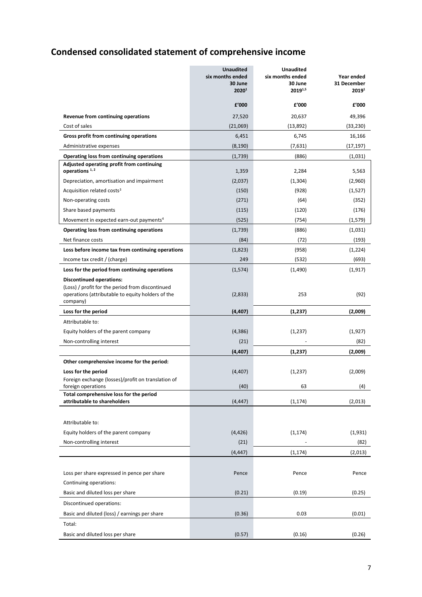# **Condensed consolidated statement of comprehensive income**

|                                                                                                                                                      | <b>Unaudited</b><br>six months ended<br>30 June<br>20201 | <b>Unaudited</b><br>six months ended<br>30 June<br>20191,5 | Year ended<br>31 December<br>2019 <sup>1</sup> |
|------------------------------------------------------------------------------------------------------------------------------------------------------|----------------------------------------------------------|------------------------------------------------------------|------------------------------------------------|
|                                                                                                                                                      | £'000                                                    | £'000                                                      | £'000                                          |
| Revenue from continuing operations                                                                                                                   | 27,520                                                   | 20,637                                                     | 49,396                                         |
| Cost of sales                                                                                                                                        | (21,069)                                                 | (13,892)                                                   | (33, 230)                                      |
| Gross profit from continuing operations                                                                                                              | 6,451                                                    | 6,745                                                      | 16,166                                         |
| Administrative expenses                                                                                                                              | (8, 190)                                                 | (7,631)                                                    | (17, 197)                                      |
| Operating loss from continuing operations<br>Adjusted operating profit from continuing                                                               | (1,739)                                                  | (886)                                                      | (1,031)                                        |
| operations <sup>1,2</sup>                                                                                                                            | 1,359                                                    | 2,284                                                      | 5,563                                          |
| Depreciation, amortisation and impairment                                                                                                            | (2,037)                                                  | (1, 304)                                                   | (2,960)                                        |
| Acquisition related costs <sup>3</sup>                                                                                                               | (150)                                                    | (928)                                                      | (1,527)                                        |
| Non-operating costs                                                                                                                                  | (271)                                                    | (64)                                                       | (352)                                          |
| Share based payments                                                                                                                                 | (115)                                                    | (120)                                                      | (176)                                          |
| Movement in expected earn-out payments <sup>4</sup>                                                                                                  | (525)                                                    | (754)                                                      | (1,579)                                        |
| Operating loss from continuing operations                                                                                                            | (1,739)                                                  | (886)                                                      | (1,031)                                        |
| Net finance costs                                                                                                                                    | (84)                                                     | (72)                                                       | (193)                                          |
| Loss before income tax from continuing operations                                                                                                    | (1,823)                                                  | (958)                                                      | (1,224)                                        |
| Income tax credit / (charge)                                                                                                                         | 249                                                      | (532)                                                      | (693)                                          |
| Loss for the period from continuing operations                                                                                                       | (1,574)                                                  | (1,490)                                                    | (1, 917)                                       |
| <b>Discontinued operations:</b><br>(Loss) / profit for the period from discontinued<br>operations (attributable to equity holders of the<br>company) | (2,833)                                                  | 253                                                        | (92)                                           |
| Loss for the period                                                                                                                                  | (4, 407)                                                 | (1, 237)                                                   | (2,009)                                        |
| Attributable to:                                                                                                                                     |                                                          |                                                            |                                                |
| Equity holders of the parent company                                                                                                                 | (4,386)                                                  | (1,237)                                                    | (1,927)                                        |
| Non-controlling interest                                                                                                                             | (21)                                                     |                                                            | (82)                                           |
|                                                                                                                                                      | (4, 407)                                                 | (1,237)                                                    | (2,009)                                        |
| Other comprehensive income for the period:                                                                                                           |                                                          |                                                            |                                                |
| Loss for the period                                                                                                                                  | (4, 407)                                                 | (1,237)                                                    | (2,009)                                        |
| Foreign exchange (losses)/profit on translation of                                                                                                   |                                                          |                                                            |                                                |
| foreign operations<br>Total comprehensive loss for the period                                                                                        | (40)                                                     | 63                                                         | (4)                                            |
| attributable to shareholders                                                                                                                         | (4, 447)                                                 | (1, 174)                                                   | (2,013)                                        |
|                                                                                                                                                      |                                                          |                                                            |                                                |
| Attributable to:                                                                                                                                     |                                                          |                                                            |                                                |
| Equity holders of the parent company                                                                                                                 | (4, 426)                                                 | (1, 174)                                                   | (1,931)                                        |
| Non-controlling interest                                                                                                                             | (21)                                                     |                                                            | (82)                                           |
|                                                                                                                                                      | (4, 447)                                                 | (1, 174)                                                   | (2,013)                                        |
|                                                                                                                                                      |                                                          |                                                            |                                                |
| Loss per share expressed in pence per share                                                                                                          | Pence                                                    | Pence                                                      | Pence                                          |
| Continuing operations:                                                                                                                               |                                                          |                                                            |                                                |
| Basic and diluted loss per share                                                                                                                     | (0.21)                                                   | (0.19)                                                     | (0.25)                                         |
| Discontinued operations:                                                                                                                             |                                                          |                                                            |                                                |
| Basic and diluted (loss) / earnings per share                                                                                                        | (0.36)                                                   | 0.03                                                       | (0.01)                                         |
| Total:                                                                                                                                               |                                                          |                                                            |                                                |
| Basic and diluted loss per share                                                                                                                     | (0.57)                                                   | (0.16)                                                     | (0.26)                                         |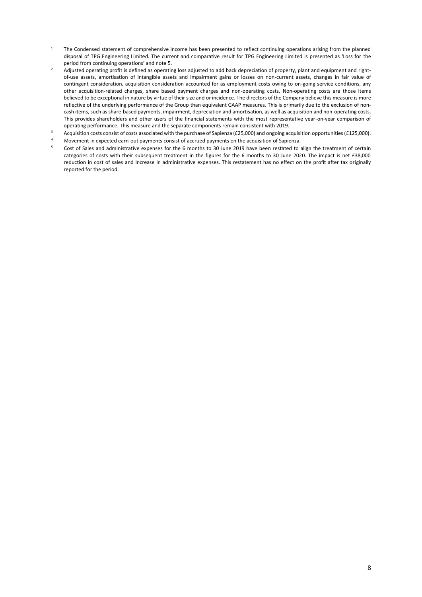- <sup>1</sup> The Condensed statement of comprehensive income has been presented to reflect continuing operations arising from the planned disposal of TPG Engineering Limited. The current and comparative result for TPG Engineering Limited is presented as 'Loss for the period from continuing operations' and note 5.
- <sup>2</sup> Adjusted operating profit is defined as operating loss adjusted to add back depreciation of property, plant and equipment and rightof-use assets, amortisation of intangible assets and impairment gains or losses on non-current assets, changes in fair value of contingent consideration, acquisition consideration accounted for as employment costs owing to on-going service conditions, any other acquisition-related charges, share based payment charges and non-operating costs. Non-operating costs are those items believed to be exceptional in nature by virtue of their size and or incidence. The directors of the Company believe this measure is more reflective of the underlying performance of the Group than equivalent GAAP measures. This is primarily due to the exclusion of noncash items, such as share-based payments, impairment, depreciation and amortisation, as well as acquisition and non-operating costs. This provides shareholders and other users of the financial statements with the most representative year-on-year comparison of operating performance. This measure and the separate components remain consistent with 2019.
- <sup>3</sup> Acquisition costs consist of costs associated with the purchase of Sapienza (£25,000) and ongoing acquisition opportunities (£125,000).
- 4 Movement in expected earn-out payments consist of accrued payments on the acquisition of Sapienza.
- 5 Cost of Sales and administrative expenses for the 6 months to 30 June 2019 have been restated to align the treatment of certain categories of costs with their subsequent treatment in the figures for the 6 months to 30 June 2020. The impact is net £38,000 reduction in cost of sales and increase in administrative expenses. This restatement has no effect on the profit after tax originally reported for the period.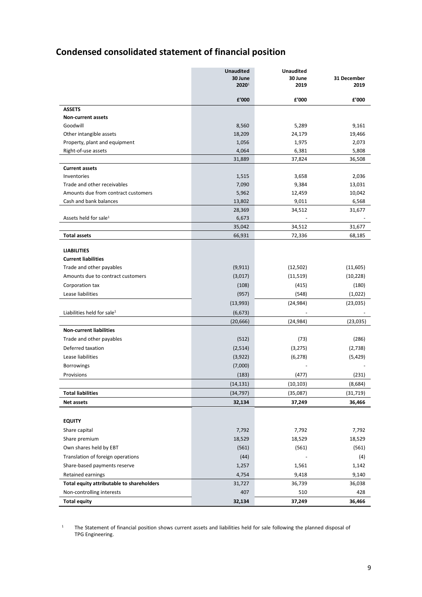# **Condensed consolidated statement of financial position**

|                                           | <b>Unaudited</b><br>30 June | <b>Unaudited</b><br>30 June | 31 December |
|-------------------------------------------|-----------------------------|-----------------------------|-------------|
|                                           | 2020 <sup>1</sup>           | 2019                        | 2019        |
|                                           | £'000                       | £'000                       | £'000       |
| <b>ASSETS</b>                             |                             |                             |             |
| Non-current assets                        |                             |                             |             |
| Goodwill                                  | 8,560                       | 5,289                       | 9,161       |
| Other intangible assets                   | 18,209                      | 24,179                      | 19,466      |
| Property, plant and equipment             | 1,056                       | 1,975                       | 2,073       |
| Right-of-use assets                       | 4,064                       | 6,381                       | 5,808       |
|                                           | 31,889                      | 37,824                      | 36,508      |
| <b>Current assets</b><br>Inventories      |                             | 3,658                       | 2,036       |
| Trade and other receivables               | 1,515<br>7,090              | 9,384                       | 13,031      |
| Amounts due from contract customers       | 5,962                       | 12,459                      | 10,042      |
| Cash and bank balances                    | 13,802                      | 9,011                       | 6,568       |
|                                           | 28,369                      | 34,512                      | 31,677      |
| Assets held for sale <sup>1</sup>         | 6,673                       |                             |             |
|                                           | 35,042                      | 34,512                      | 31,677      |
| <b>Total assets</b>                       | 66,931                      | 72,336                      | 68,185      |
|                                           |                             |                             |             |
| <b>LIABILITIES</b>                        |                             |                             |             |
| <b>Current liabilities</b>                |                             |                             |             |
| Trade and other payables                  | (9, 911)                    | (12,502)                    | (11,605)    |
| Amounts due to contract customers         | (3,017)                     | (11, 519)                   | (10, 228)   |
| Corporation tax                           | (108)                       | (415)                       | (180)       |
| Lease liabilities                         | (957)                       | (548)                       | (1,022)     |
|                                           | (13,993)                    | (24, 984)                   | (23,035)    |
| Liabilities held for sale <sup>1</sup>    | (6, 673)                    |                             |             |
|                                           | (20, 666)                   | (24, 984)                   | (23,035)    |
| <b>Non-current liabilities</b>            |                             |                             |             |
| Trade and other payables                  | (512)                       | (73)                        | (286)       |
| Deferred taxation                         | (2,514)                     | (3, 275)                    | (2,738)     |
| Lease liabilities                         | (3,922)                     | (6, 278)                    | (5, 429)    |
| <b>Borrowings</b>                         | (7,000)                     |                             |             |
| Provisions                                | (183)                       | (477)                       | (231)       |
|                                           | (14, 131)                   | (10, 103)                   | (8,684)     |
| <b>Total liabilities</b>                  | (34, 797)                   | (35,087)                    | (31, 719)   |
| Net assets                                | 32,134                      | 37,249                      | 36,466      |
|                                           |                             |                             |             |
| <b>EQUITY</b>                             |                             |                             |             |
| Share capital                             | 7,792                       | 7,792                       | 7,792       |
| Share premium                             | 18,529                      | 18,529                      | 18,529      |
| Own shares held by EBT                    | (561)                       | (561)                       | (561)       |
| Translation of foreign operations         | (44)                        |                             | (4)         |
| Share-based payments reserve              | 1,257                       | 1,561                       | 1,142       |
| Retained earnings                         | 4,754                       | 9,418                       | 9,140       |
| Total equity attributable to shareholders | 31,727                      | 36,739                      | 36,038      |
| Non-controlling interests                 | 407                         | 510                         | 428         |
| <b>Total equity</b>                       | 32,134                      | 37,249                      | 36,466      |

<sup>1</sup> The Statement of financial position shows current assets and liabilities held for sale following the planned disposal of TPG Engineering.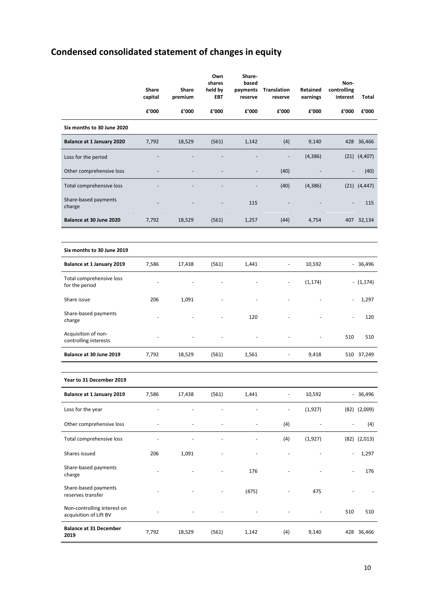# **Condensed consolidated statement of changes in equity**

|                                                       | Share<br>capital | Share<br>premium | Own<br>shares<br>held by<br><b>EBT</b> | Share-<br>based<br>payments<br>reserve | <b>Translation</b><br>reserve | Retained<br>earnings     | Non-<br>controlling<br>interest | Total            |
|-------------------------------------------------------|------------------|------------------|----------------------------------------|----------------------------------------|-------------------------------|--------------------------|---------------------------------|------------------|
|                                                       | £'000            | £'000            | £'000                                  | £'000                                  | £'000                         | £'000                    | £'000                           | £'000            |
| Six months to 30 June 2020                            |                  |                  |                                        |                                        |                               |                          |                                 |                  |
| Balance at 1 January 2020                             | 7,792            | 18,529           | (561)                                  | 1,142                                  | (4)                           | 9,140                    |                                 | 428 36,466       |
| Loss for the period                                   |                  |                  |                                        |                                        | $\qquad \qquad \blacksquare$  | (4, 386)                 |                                 | $(21)$ $(4,407)$ |
| Other comprehensive loss                              |                  |                  |                                        | $\overline{a}$                         | (40)                          |                          |                                 | (40)             |
| Total comprehensive loss                              |                  |                  |                                        |                                        | (40)                          | (4, 386)                 |                                 | $(21)$ $(4,447)$ |
| Share-based payments<br>charge                        |                  |                  |                                        | 115                                    |                               |                          |                                 | 115              |
| Balance at 30 June 2020                               | 7,792            | 18,529           | (561)                                  | 1,257                                  | (44)                          | 4,754                    |                                 | 407 32,134       |
|                                                       |                  |                  |                                        |                                        |                               |                          |                                 |                  |
| Six months to 30 June 2019                            |                  |                  |                                        |                                        |                               |                          |                                 |                  |
| Balance at 1 January 2019                             | 7,586            | 17,438           | (561)                                  | 1,441                                  | $\blacksquare$                | 10,592                   |                                 | $-36,496$        |
| Total comprehensive loss<br>for the period            |                  |                  |                                        |                                        |                               | (1, 174)                 |                                 | $- (1,174)$      |
| Share issue                                           | 206              | 1,091            |                                        |                                        |                               |                          |                                 | 1,297            |
| Share-based payments<br>charge                        |                  |                  |                                        | 120                                    |                               |                          |                                 | 120              |
| Acquisition of non-<br>controlling interests          |                  |                  |                                        |                                        |                               |                          | 510                             | 510              |
| Balance at 30 June 2019                               | 7,792            | 18,529           | (561)                                  | 1,561                                  |                               | 9,418                    |                                 | 510 37,249       |
|                                                       |                  |                  |                                        |                                        |                               |                          |                                 |                  |
| Year to 31 December 2019                              |                  |                  |                                        |                                        |                               |                          |                                 |                  |
| Balance at 1 January 2019                             | 7,586            | 17,438           | (561)                                  | 1,441                                  |                               | 10,592                   | ÷,                              | 36,496           |
| Loss for the year                                     |                  |                  |                                        |                                        |                               | (1, 927)                 |                                 | $(82)$ $(2,009)$ |
| Other comprehensive loss                              |                  |                  |                                        |                                        | (4)                           | $\overline{\phantom{a}}$ | L,                              | (4)              |
| Total comprehensive loss                              |                  |                  |                                        |                                        | (4)                           | (1, 927)                 |                                 | $(82)$ $(2,013)$ |
| Shares issued                                         | 206              | 1,091            |                                        |                                        |                               |                          |                                 | 1,297            |
| Share-based payments<br>charge                        |                  |                  |                                        | 176                                    |                               |                          |                                 | 176              |
| Share-based payments<br>reserves transfer             |                  |                  |                                        | (475)                                  |                               | 475                      |                                 |                  |
| Non-controlling interest on<br>acquisition of Lift BV |                  |                  |                                        |                                        |                               |                          | 510                             | 510              |
| <b>Balance at 31 December</b><br>2019                 | 7,792            | 18,529           | (561)                                  | 1,142                                  | (4)                           | 9,140                    |                                 | 428 36,466       |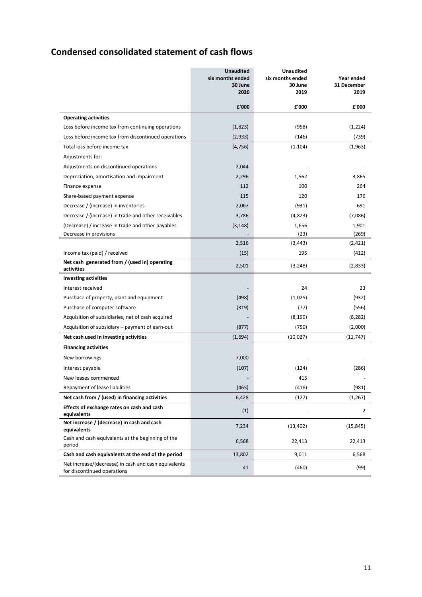## **Condensed consolidated statement of cash flows**

|                                                                                     | <b>Unaudited</b><br>six months ended<br>30 June<br>2020 | <b>Unaudited</b><br>six months ended<br>30 June<br>2019 | Year ended<br>31 December<br>2019 |
|-------------------------------------------------------------------------------------|---------------------------------------------------------|---------------------------------------------------------|-----------------------------------|
|                                                                                     | £'000                                                   | £'000                                                   | £'000                             |
| <b>Operating activities</b>                                                         |                                                         |                                                         |                                   |
| Loss before income tax from continuing operations                                   | (1,823)                                                 | (958)                                                   | (1,224)                           |
| Loss before income tax from discontinued operations                                 | (2,933)                                                 | (146)                                                   | (739)                             |
| Total loss before income tax                                                        | (4, 756)                                                | (1, 104)                                                | (1,963)                           |
| Adjustments for:                                                                    |                                                         |                                                         |                                   |
| Adjustments on discontinued operations                                              | 2,044                                                   |                                                         |                                   |
| Depreciation, amortisation and impairment                                           | 2,296                                                   | 1,562                                                   | 3,865                             |
| Finance expense                                                                     | 112                                                     | 100                                                     | 264                               |
| Share-based payment expense                                                         | 115                                                     | 120                                                     | 176                               |
| Decrease / (increase) in inventories                                                | 2,067                                                   | (931)                                                   | 691                               |
| Decrease / (increase) in trade and other receivables                                | 3,786                                                   | (4,823)                                                 | (7,086)                           |
| (Decrease) / increase in trade and other payables                                   | (3, 148)                                                | 1,656                                                   | 1,901                             |
| Decrease in provisions                                                              |                                                         | (23)                                                    | (269)                             |
|                                                                                     | 2,516                                                   | (3, 443)                                                | (2, 421)                          |
| Income tax (paid) / received                                                        | (15)                                                    | 195                                                     | (412)                             |
| Net cash generated from / (used in) operating<br>activities                         | 2,501                                                   | (3, 248)                                                | (2,833)                           |
| <b>Investing activities</b>                                                         |                                                         |                                                         |                                   |
| Interest received                                                                   |                                                         | 24                                                      | 23                                |
| Purchase of property, plant and equipment                                           | (498)                                                   | (1,025)                                                 | (932)                             |
| Purchase of computer software                                                       | (319)                                                   | (77)                                                    | (556)                             |
| Acquisition of subsidiaries, net of cash acquired                                   |                                                         | (8, 199)                                                | (8,282)                           |
| Acquisition of subsidiary – payment of earn-out                                     | (877)                                                   | (750)                                                   | (2,000)                           |
| Net cash used in investing activities                                               | (1,694)                                                 | (10,027)                                                | (11, 747)                         |
| <b>Financing activities</b>                                                         |                                                         |                                                         |                                   |
| New borrowings                                                                      | 7,000                                                   |                                                         |                                   |
| Interest payable                                                                    | (107)                                                   | (124)                                                   | (286)                             |
| New leases commenced                                                                |                                                         | 415                                                     |                                   |
| Repayment of lease liabilities                                                      | (465)                                                   | (418)                                                   | (981)                             |
| Net cash from / (used) in financing activities                                      | 6,428                                                   | (127)                                                   | (1, 267)                          |
| Effects of exchange rates on cash and cash<br>equivalents                           | (1)                                                     |                                                         | $\overline{2}$                    |
| Net increase / (decrease) in cash and cash<br>equivalents                           | 7,234                                                   | (13, 402)                                               | (15, 845)                         |
| Cash and cash equivalents at the beginning of the<br>period                         | 6,568                                                   | 22,413                                                  | 22,413                            |
| Cash and cash equivalents at the end of the period                                  | 13,802                                                  | 9,011                                                   | 6,568                             |
| Net increase/(decrease) in cash and cash equivalents<br>for discontinued operations | 41                                                      | (460)                                                   | (99)                              |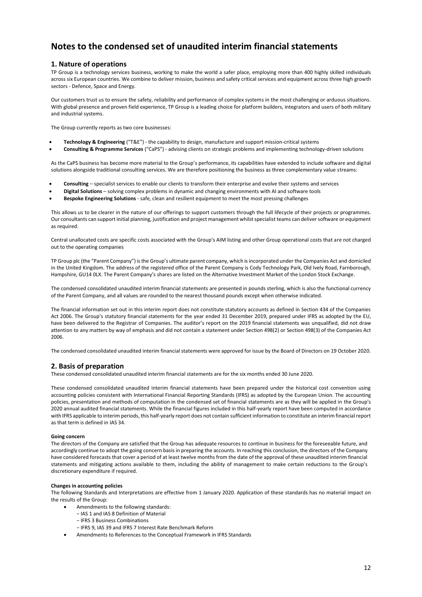### **1. Nature of operations**

TP Group is a technology services business, working to make the world a safer place, employing more than 400 highly skilled individuals across six European countries. We combine to deliver mission, business and safety critical services and equipment across three high growth sectors - Defence, Space and Energy.

Our customers trust us to ensure the safety, reliability and performance of complex systems in the most challenging or arduous situations. With global presence and proven field experience, TP Group is a leading choice for platform builders, integrators and users of both military and industrial systems.

The Group currently reports as two core businesses:

- **Technology & Engineering** ("T&E") the capability to design, manufacture and support mission-critical systems
- **Consulting & Programme Services** ("CaPS") advising clients on strategic problems and implementing technology-driven solutions

As the CaPS business has become more material to the Group's performance, its capabilities have extended to include software and digital solutions alongside traditional consulting services. We are therefore positioning the business as three complementary value streams:

- **Consulting**  specialist services to enable our clients to transform their enterprise and evolve their systems and services
- **Digital Solutions**  solving complex problems in dynamic and changing environments with AI and software tools
- **Bespoke Engineering Solutions**  safe, clean and resilient equipment to meet the most pressing challenges

This allows us to be clearer in the nature of our offerings to support customers through the full lifecycle of their projects or programmes. Our consultants can support initial planning, justification and project management whilst specialist teams can deliver software or equipment as required.

Central unallocated costs are specific costs associated with the Group's AIM listing and other Group operational costs that are not charged out to the operating companies

TP Group plc (the "Parent Company") is the Group's ultimate parent company, which is incorporated under the Companies Act and domiciled in the United Kingdom. The address of the registered office of the Parent Company is Cody Technology Park, Old Ively Road, Farnborough, Hampshire, GU14 0LX. The Parent Company's shares are listed on the Alternative Investment Market of the London Stock Exchange.

The condensed consolidated unaudited interim financial statements are presented in pounds sterling, which is also the functional currency of the Parent Company, and all values are rounded to the nearest thousand pounds except when otherwise indicated.

The financial information set out in this interim report does not constitute statutory accounts as defined in Section 434 of the Companies Act 2006. The Group's statutory financial statements for the year ended 31 December 2019, prepared under IFRS as adopted by the EU, have been delivered to the Registrar of Companies. The auditor's report on the 2019 financial statements was unqualified, did not draw attention to any matters by way of emphasis and did not contain a statement under Section 498(2) or Section 498(3) of the Companies Act 2006.

The condensed consolidated unaudited interim financial statements were approved for issue by the Board of Directors on 19 October 2020.

#### **2. Basis of preparation**

These condensed consolidated unaudited interim financial statements are for the six months ended 30 June 2020.

These condensed consolidated unaudited interim financial statements have been prepared under the historical cost convention using accounting policies consistent with International Financial Reporting Standards (IFRS) as adopted by the European Union. The accounting policies, presentation and methods of computation in the condensed set of financial statements are as they will be applied in the Group's 2020 annual audited financial statements. While the financial figures included in this half-yearly report have been computed in accordance with IFRS applicable to interim periods, this half-yearly report does not contain sufficient information to constitute an interim financial report as that term is defined in IAS 34.

#### **Going concern**

The directors of the Company are satisfied that the Group has adequate resources to continue in business for the foreseeable future, and accordingly continue to adopt the going concern basis in preparing the accounts. In reaching this conclusion, the directors of the Company have considered forecasts that cover a period of at least twelve months from the date of the approval of these unaudited interim financial statements and mitigating actions available to them, including the ability of management to make certain reductions to the Group's discretionary expenditure if required.

#### **Changes in accounting policies**

The following Standards and Interpretations are effective from 1 January 2020. Application of these standards has no material impact on the results of the Group:

- Amendments to the following standards:
	- − IAS 1 and IAS 8 Definition of Material
	- − IFRS 3 Business Combinations
	- − IFRS 9, IAS 39 and IFRS 7 Interest Rate Benchmark Reform
- Amendments to References to the Conceptual Framework in IFRS Standards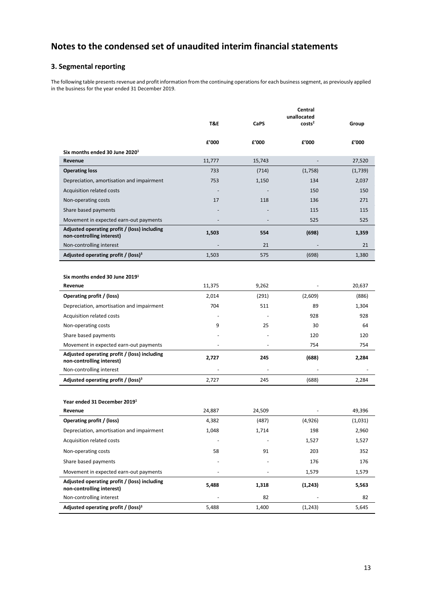### **3. Segmental reporting**

The following table presents revenue and profit information from the continuing operations for each business segment, as previously applied in the business for the year ended 31 December 2019.

|                                                                           |                |             | Central<br>unallocated |         |
|---------------------------------------------------------------------------|----------------|-------------|------------------------|---------|
|                                                                           | <b>T&amp;E</b> | <b>CaPS</b> | costs <sup>2</sup>     | Group   |
|                                                                           |                |             |                        |         |
|                                                                           | £'000          | £'000       | £'000                  | £'000   |
| Six months ended 30 June 2020 <sup>1</sup>                                |                |             |                        |         |
| Revenue                                                                   | 11,777         | 15,743      |                        | 27,520  |
| <b>Operating loss</b>                                                     | 733            | (714)       | (1,758)                | (1,739) |
| Depreciation, amortisation and impairment                                 | 753            | 1,150       | 134                    | 2,037   |
| Acquisition related costs                                                 |                |             | 150                    | 150     |
| Non-operating costs                                                       | 17             | 118         | 136                    | 271     |
| Share based payments                                                      |                |             | 115                    | 115     |
| Movement in expected earn-out payments                                    |                |             | 525                    | 525     |
| Adjusted operating profit / (loss) including<br>non-controlling interest) | 1,503          | 554         | (698)                  | 1,359   |
| Non-controlling interest                                                  |                | 21          |                        | 21      |
| Adjusted operating profit / (loss) <sup>3</sup>                           | 1,503          | 575         | (698)                  | 1,380   |
|                                                                           |                |             |                        |         |
| Six months ended 30 June 2019 <sup>1</sup>                                |                |             |                        |         |
| Revenue                                                                   | 11,375         | 9,262       |                        | 20,637  |
| Operating profit / (loss)                                                 | 2,014          | (291)       | (2,609)                | (886)   |
| Depreciation, amortisation and impairment                                 | 704            | 511         | 89                     | 1,304   |
| Acquisition related costs                                                 |                |             | 928                    | 928     |
| Non-operating costs                                                       | 9              | 25          | 30                     | 64      |
| Share based payments                                                      |                |             | 120                    | 120     |
| Movement in expected earn-out payments                                    |                |             | 754                    | 754     |
| Adjusted operating profit / (loss) including<br>non-controlling interest) | 2,727          | 245         | (688)                  | 2,284   |
| Non-controlling interest                                                  |                |             |                        |         |
| Adjusted operating profit / (loss) <sup>3</sup>                           | 2,727          | 245         | (688)                  | 2,284   |
|                                                                           |                |             |                        |         |
| Year ended 31 December 2019 <sup>1</sup>                                  |                |             |                        |         |
| Revenue                                                                   | 24,887         | 24,509      |                        | 49,396  |
| Operating profit / (loss)                                                 | 4,382          | (487)       | (4,926)                | (1,031) |
| Depreciation, amortisation and impairment                                 | 1,048          | 1,714       | 198                    | 2,960   |
| Acquisition related costs                                                 |                |             | 1,527                  | 1,527   |
| Non-operating costs                                                       | 58             | 91          | 203                    | 352     |
| Share based payments                                                      |                |             | 176                    | 176     |
| Movement in expected earn-out payments                                    |                |             | 1,579                  | 1,579   |
| Adjusted operating profit / (loss) including<br>non-controlling interest) | 5,488          | 1,318       | (1, 243)               | 5,563   |
| Non-controlling interest                                                  |                | 82          |                        | 82      |
| Adjusted operating profit / (loss) <sup>3</sup>                           | 5,488          | 1,400       | (1, 243)               | 5,645   |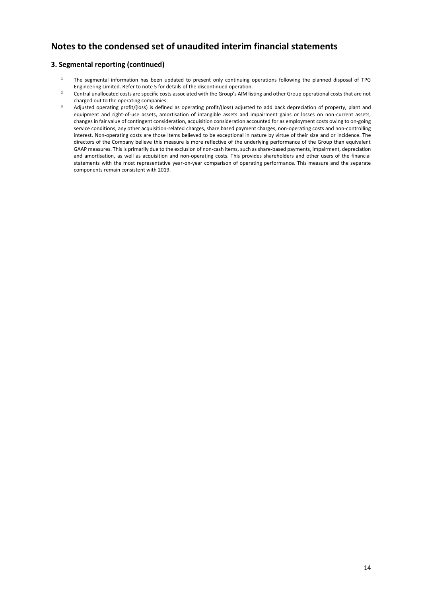### **3. Segmental reporting (continued)**

- $1$  The segmental information has been updated to present only continuing operations following the planned disposal of TPG Engineering Limited. Refer to note 5 for details of the discontinued operation.
- <sup>2</sup> Central unallocated costs are specific costs associated with the Group's AIM listing and other Group operational costs that are not charged out to the operating companies.
- <sup>3</sup> Adjusted operating profit/(loss) is defined as operating profit/(loss) adjusted to add back depreciation of property, plant and equipment and right-of-use assets, amortisation of intangible assets and impairment gains or losses on non-current assets, changes in fair value of contingent consideration, acquisition consideration accounted for as employment costs owing to on-going service conditions, any other acquisition-related charges, share based payment charges, non-operating costs and non-controlling interest. Non-operating costs are those items believed to be exceptional in nature by virtue of their size and or incidence. The directors of the Company believe this measure is more reflective of the underlying performance of the Group than equivalent GAAP measures. This is primarily due to the exclusion of non-cash items, such as share-based payments, impairment, depreciation and amortisation, as well as acquisition and non-operating costs. This provides shareholders and other users of the financial statements with the most representative year-on-year comparison of operating performance. This measure and the separate components remain consistent with 2019.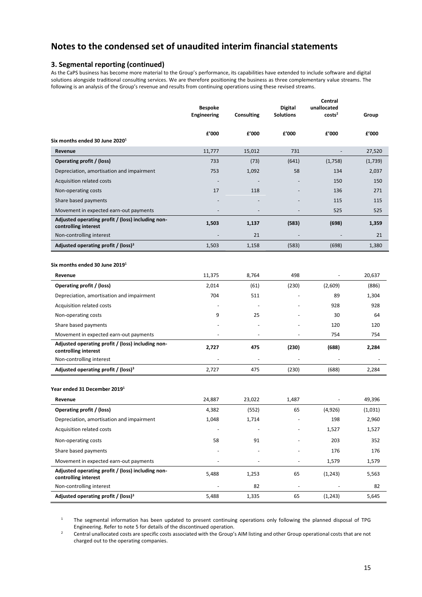### **3. Segmental reporting (continued)**

As the CaPS business has become more material to the Group's performance, its capabilities have extended to include software and digital solutions alongside traditional consulting services. We are therefore positioning the business as three complementary value streams. The following is an analysis of the Group's revenue and results from continuing operations using these revised streams.

|                                                                           | <b>Bespoke</b><br>Engineering | Consulting               | <b>Digital</b><br><b>Solutions</b> | Central<br>unallocated<br>costs <sup>2</sup> | Group   |
|---------------------------------------------------------------------------|-------------------------------|--------------------------|------------------------------------|----------------------------------------------|---------|
| Six months ended 30 June 2020 <sup>1</sup>                                | £'000                         | £'000                    | £'000                              | £'000                                        | £'000   |
| Revenue                                                                   | 11,777                        | 15,012                   | 731                                | $\overline{\phantom{m}}$                     | 27,520  |
| Operating profit / (loss)                                                 | 733                           | (73)                     | (641)                              | (1,758)                                      | (1,739) |
| Depreciation, amortisation and impairment                                 | 753                           | 1,092                    | 58                                 | 134                                          | 2,037   |
| Acquisition related costs                                                 |                               |                          |                                    | 150                                          | 150     |
| Non-operating costs                                                       | 17                            | 118                      |                                    | 136                                          | 271     |
| Share based payments                                                      |                               |                          |                                    | 115                                          | 115     |
| Movement in expected earn-out payments                                    |                               |                          |                                    | 525                                          | 525     |
| Adjusted operating profit / (loss) including non-<br>controlling interest | 1,503                         | 1,137                    | (583)                              | (698)                                        | 1,359   |
| Non-controlling interest                                                  |                               | 21                       |                                    |                                              | 21      |
| Adjusted operating profit / (loss) <sup>3</sup>                           | 1,503                         | 1,158                    | (583)                              | (698)                                        | 1,380   |
| Six months ended 30 June 2019 <sup>1</sup>                                |                               |                          |                                    |                                              |         |
| Revenue                                                                   | 11,375                        | 8,764                    | 498                                |                                              | 20,637  |
| Operating profit / (loss)                                                 | 2,014                         | (61)                     | (230)                              | (2,609)                                      | (886)   |
| Depreciation, amortisation and impairment                                 | 704                           | 511                      |                                    | 89                                           | 1,304   |
| Acquisition related costs                                                 | $\overline{\phantom{a}}$      | $\overline{\phantom{a}}$ |                                    | 928                                          | 928     |
| Non-operating costs                                                       | 9                             | 25                       |                                    | 30                                           | 64      |
| Share based payments                                                      |                               |                          |                                    | 120                                          | 120     |
| Movement in expected earn-out payments                                    | ÷,                            | $\blacksquare$           |                                    | 754                                          | 754     |
| Adjusted operating profit / (loss) including non-<br>controlling interest | 2,727                         | 475                      | (230)                              | (688)                                        | 2,284   |
| Non-controlling interest                                                  |                               |                          |                                    |                                              |         |
| Adjusted operating profit / (loss) <sup>3</sup>                           | 2,727                         | 475                      | (230)                              | (688)                                        | 2,284   |
| Year ended 31 December 2019 <sup>1</sup>                                  |                               |                          |                                    |                                              |         |
| Revenue                                                                   | 24,887                        | 23,022                   | 1,487                              |                                              | 49,396  |
| Operating profit / (loss)                                                 | 4,382                         | (552)                    | 65                                 | (4,926)                                      | (1,031) |
| Depreciation, amortisation and impairment                                 | 1,048                         | 1,714                    |                                    | 198                                          | 2,960   |
| Acquisition related costs                                                 |                               |                          |                                    | 1,527                                        | 1,527   |
| Non-operating costs                                                       | 58                            | 91                       |                                    | 203                                          | 352     |
| Share based payments                                                      |                               |                          |                                    | 176                                          | 176     |
| Movement in expected earn-out payments                                    |                               |                          |                                    | 1,579                                        | 1,579   |
| Adjusted operating profit / (loss) including non-<br>controlling interest | 5,488                         | 1,253                    | 65                                 | (1, 243)                                     | 5,563   |
| Non-controlling interest                                                  |                               | 82                       |                                    |                                              | 82      |
| Adjusted operating profit / (loss) <sup>3</sup>                           | 5,488                         | 1,335                    | 65                                 | (1,243)                                      | 5,645   |

<sup>1</sup> The segmental information has been updated to present continuing operations only following the planned disposal of TPG Engineering. Refer to note 5 for details of the discontinued operation.

<sup>2</sup> Central unallocated costs are specific costs associated with the Group's AIM listing and other Group operational costs that are not charged out to the operating companies.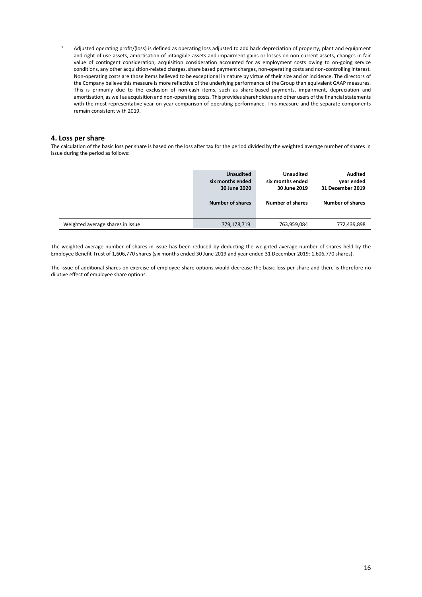<sup>3</sup> Adjusted operating profit/(loss) is defined as operating loss adjusted to add back depreciation of property, plant and equipment and right-of-use assets, amortisation of intangible assets and impairment gains or losses on non-current assets, changes in fair value of contingent consideration, acquisition consideration accounted for as employment costs owing to on-going service conditions, any other acquisition-related charges, share based payment charges, non-operating costs and non-controlling interest. Non-operating costs are those items believed to be exceptional in nature by virtue of their size and or incidence. The directors of the Company believe this measure is more reflective of the underlying performance of the Group than equivalent GAAP measures. This is primarily due to the exclusion of non-cash items, such as share-based payments, impairment, depreciation and amortisation, as well as acquisition and non-operating costs. This provides shareholders and other users of the financial statements with the most representative year-on-year comparison of operating performance. This measure and the separate components remain consistent with 2019.

#### **4. Loss per share**

The calculation of the basic loss per share is based on the loss after tax for the period divided by the weighted average number of shares in issue during the period as follows:

|                                  | <b>Unaudited</b> | <b>Unaudited</b>        | Audited                 |
|----------------------------------|------------------|-------------------------|-------------------------|
|                                  | six months ended | six months ended        | year ended              |
|                                  | 30 June 2020     | 30 June 2019            | 31 December 2019        |
|                                  | Number of shares | <b>Number of shares</b> | <b>Number of shares</b> |
| Weighted average shares in issue | 779,178,719      | 763,959,084             | 772,439,898             |

The weighted average number of shares in issue has been reduced by deducting the weighted average number of shares held by the Employee Benefit Trust of 1,606,770 shares (six months ended 30 June 2019 and year ended 31 December 2019: 1,606,770 shares).

The issue of additional shares on exercise of employee share options would decrease the basic loss per share and there is therefore no dilutive effect of employee share options.